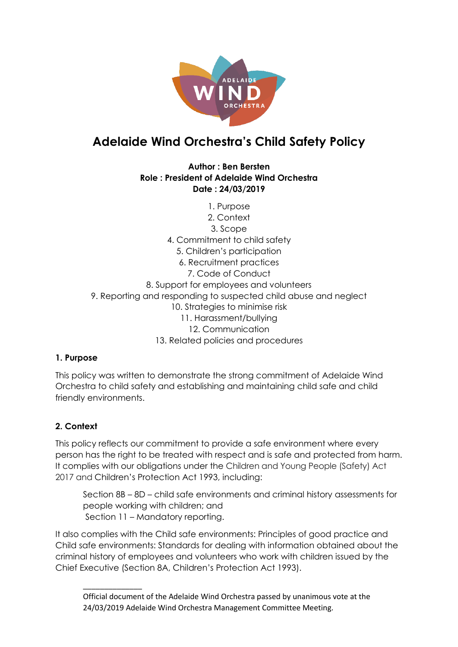

# **Adelaide Wind Orchestra's Child Safety Policy**

#### **Author : Ben Bersten Role : President of Adelaide Wind Orchestra Date : 24/03/2019**

1. Purpose 2. Context 3. Scope 4. Commitment to child safety 5. Children's participation 6. Recruitment practices 7. Code of Conduct 8. Support for employees and volunteers 9. Reporting and responding to suspected child abuse and neglect 10. Strategies to minimise risk 11. Harassment/bullying 12. Communication 13. Related policies and procedures

# **1. Purpose**

This policy was written to demonstrate the strong commitment of Adelaide Wind Orchestra to child safety and establishing and maintaining child safe and child friendly environments.

# **2. Context**

\_\_\_\_\_\_\_\_\_\_\_\_\_\_

This policy reflects our commitment to provide a safe environment where every person has the right to be treated with respect and is safe and protected from harm. It complies with our obligations under the Children and Young People (Safety) Act 2017 and Children's Protection Act 1993, including:

Section 8B – 8D – child safe environments and criminal history assessments for people working with children; and Section 11 – Mandatory reporting.

It also complies with the Child safe environments: Principles of good practice and Child safe environments: Standards for dealing with information obtained about the criminal history of employees and volunteers who work with children issued by the Chief Executive (Section 8A, Children's Protection Act 1993).

Official document of the Adelaide Wind Orchestra passed by unanimous vote at the 24/03/2019 Adelaide Wind Orchestra Management Committee Meeting.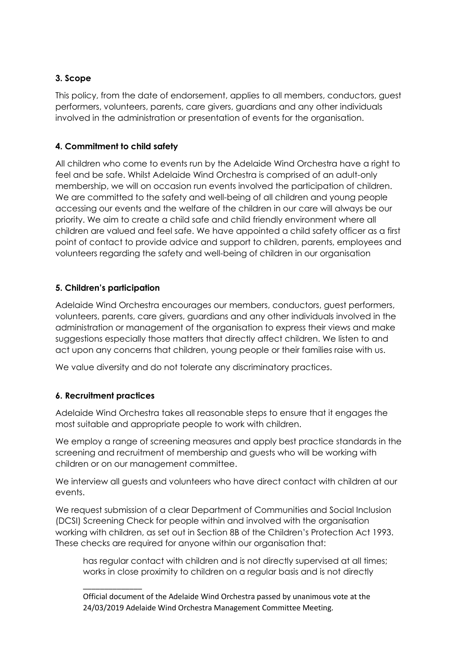## **3. Scope**

This policy, from the date of endorsement, applies to all members, conductors, guest performers, volunteers, parents, care givers, guardians and any other individuals involved in the administration or presentation of events for the organisation.

## **4. Commitment to child safety**

All children who come to events run by the Adelaide Wind Orchestra have a right to feel and be safe. Whilst Adelaide Wind Orchestra is comprised of an adult-only membership, we will on occasion run events involved the participation of children. We are committed to the safety and well-being of all children and young people accessing our events and the welfare of the children in our care will always be our priority. We aim to create a child safe and child friendly environment where all children are valued and feel safe. We have appointed a child safety officer as a first point of contact to provide advice and support to children, parents, employees and volunteers regarding the safety and well-being of children in our organisation

## **5. Children's participation**

Adelaide Wind Orchestra encourages our members, conductors, guest performers, volunteers, parents, care givers, guardians and any other individuals involved in the administration or management of the organisation to express their views and make suggestions especially those matters that directly affect children. We listen to and act upon any concerns that children, young people or their families raise with us.

We value diversity and do not tolerate any discriminatory practices.

# **6. Recruitment practices**

\_\_\_\_\_\_\_\_\_\_\_\_\_\_

Adelaide Wind Orchestra takes all reasonable steps to ensure that it engages the most suitable and appropriate people to work with children.

We employ a range of screening measures and apply best practice standards in the screening and recruitment of membership and guests who will be working with children or on our management committee.

We interview all guests and volunteers who have direct contact with children at our events.

We request submission of a clear Department of Communities and Social Inclusion (DCSI) Screening Check for people within and involved with the organisation working with children, as set out in Section 8B of the Children's Protection Act 1993. These checks are required for anyone within our organisation that:

has regular contact with children and is not directly supervised at all times; works in close proximity to children on a regular basis and is not directly

Official document of the Adelaide Wind Orchestra passed by unanimous vote at the 24/03/2019 Adelaide Wind Orchestra Management Committee Meeting.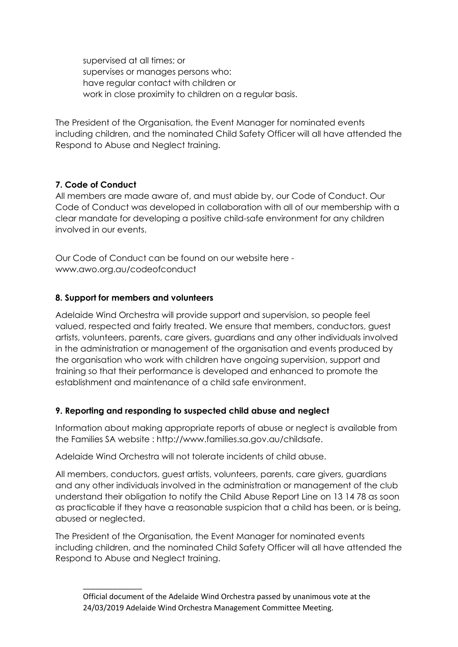supervised at all times; or supervises or manages persons who: have regular contact with children or work in close proximity to children on a regular basis.

The President of the Organisation, the Event Manager for nominated events including children, and the nominated Child Safety Officer will all have attended the Respond to Abuse and Neglect training.

#### **7. Code of Conduct**

All members are made aware of, and must abide by, our Code of Conduct. Our Code of Conduct was developed in collaboration with all of our membership with a clear mandate for developing a positive child-safe environment for any children involved in our events.

Our Code of Conduct can be found on our website here www.awo.org.au/codeofconduct

## **8. Support for members and volunteers**

\_\_\_\_\_\_\_\_\_\_\_\_\_\_

Adelaide Wind Orchestra will provide support and supervision, so people feel valued, respected and fairly treated. We ensure that members, conductors, guest artists, volunteers, parents, care givers, guardians and any other individuals involved in the administration or management of the organisation and events produced by the organisation who work with children have ongoing supervision, support and training so that their performance is developed and enhanced to promote the establishment and maintenance of a child safe environment.

#### **9. Reporting and responding to suspected child abuse and neglect**

Information about making appropriate reports of abuse or neglect is available from the Families SA website : http://www.families.sa.gov.au/childsafe.

Adelaide Wind Orchestra will not tolerate incidents of child abuse.

All members, conductors, guest artists, volunteers, parents, care givers, guardians and any other individuals involved in the administration or management of the club understand their obligation to notify the Child Abuse Report Line on 13 14 78 as soon as practicable if they have a reasonable suspicion that a child has been, or is being, abused or neglected.

The President of the Organisation, the Event Manager for nominated events including children, and the nominated Child Safety Officer will all have attended the Respond to Abuse and Neglect training.

Official document of the Adelaide Wind Orchestra passed by unanimous vote at the 24/03/2019 Adelaide Wind Orchestra Management Committee Meeting.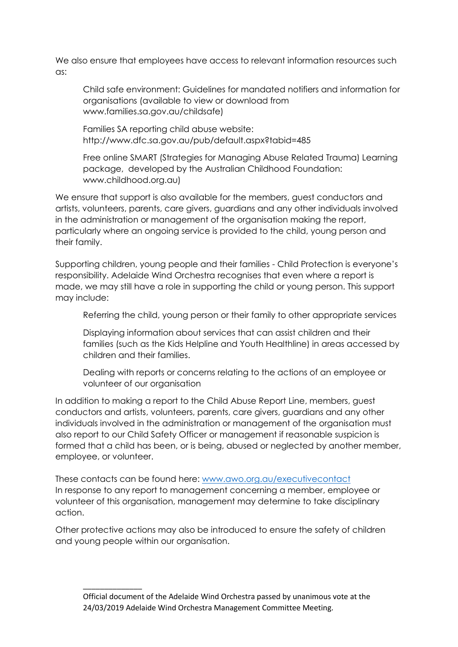We also ensure that employees have access to relevant information resources such as:

Child safe environment: Guidelines for mandated notifiers and information for organisations (available to view or download from www.families.sa.gov.au/childsafe)

Families SA reporting child abuse website: http://www.dfc.sa.gov.au/pub/default.aspx?tabid=485

Free online SMART (Strategies for Managing Abuse Related Trauma) Learning package, developed by the Australian Childhood Foundation: www.childhood.org.au)

We ensure that support is also available for the members, guest conductors and artists, volunteers, parents, care givers, guardians and any other individuals involved in the administration or management of the organisation making the report, particularly where an ongoing service is provided to the child, young person and their family.

Supporting children, young people and their families - Child Protection is everyone's responsibility. Adelaide Wind Orchestra recognises that even where a report is made, we may still have a role in supporting the child or young person. This support may include:

Referring the child, young person or their family to other appropriate services

Displaying information about services that can assist children and their families (such as the Kids Helpline and Youth Healthline) in areas accessed by children and their families.

Dealing with reports or concerns relating to the actions of an employee or volunteer of our organisation

In addition to making a report to the Child Abuse Report Line, members, guest conductors and artists, volunteers, parents, care givers, guardians and any other individuals involved in the administration or management of the organisation must also report to our Child Safety Officer or management if reasonable suspicion is formed that a child has been, or is being, abused or neglected by another member, employee, or volunteer.

These contacts can be found here: [www.awo.org.au/executivecontact](http://www.awo.org.au/executivecontact) In response to any report to management concerning a member, employee or volunteer of this organisation, management may determine to take disciplinary action.

Other protective actions may also be introduced to ensure the safety of children and young people within our organisation.

\_\_\_\_\_\_\_\_\_\_\_\_\_\_

Official document of the Adelaide Wind Orchestra passed by unanimous vote at the 24/03/2019 Adelaide Wind Orchestra Management Committee Meeting.